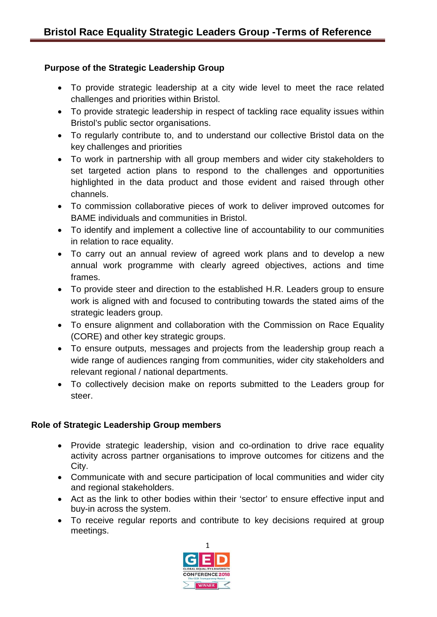## **Purpose of the Strategic Leadership Group**

- To provide strategic leadership at a city wide level to meet the race related challenges and priorities within Bristol.
- To provide strategic leadership in respect of tackling race equality issues within Bristol's public sector organisations.
- To regularly contribute to, and to understand our collective Bristol data on the key challenges and priorities
- To work in partnership with all group members and wider city stakeholders to set targeted action plans to respond to the challenges and opportunities highlighted in the data product and those evident and raised through other channels.
- To commission collaborative pieces of work to deliver improved outcomes for BAME individuals and communities in Bristol.
- To identify and implement a collective line of accountability to our communities in relation to race equality.
- To carry out an annual review of agreed work plans and to develop a new annual work programme with clearly agreed objectives, actions and time frames.
- To provide steer and direction to the established H.R. Leaders group to ensure work is aligned with and focused to contributing towards the stated aims of the strategic leaders group.
- To ensure alignment and collaboration with the Commission on Race Equality (CORE) and other key strategic groups.
- To ensure outputs, messages and projects from the leadership group reach a wide range of audiences ranging from communities, wider city stakeholders and relevant regional / national departments.
- To collectively decision make on reports submitted to the Leaders group for steer.

## **Role of Strategic Leadership Group members**

- Provide strategic leadership, vision and co-ordination to drive race equality activity across partner organisations to improve outcomes for citizens and the City.
- Communicate with and secure participation of local communities and wider city and regional stakeholders.
- Act as the link to other bodies within their 'sector' to ensure effective input and buy-in across the system.
- To receive regular reports and contribute to key decisions required at group meetings.

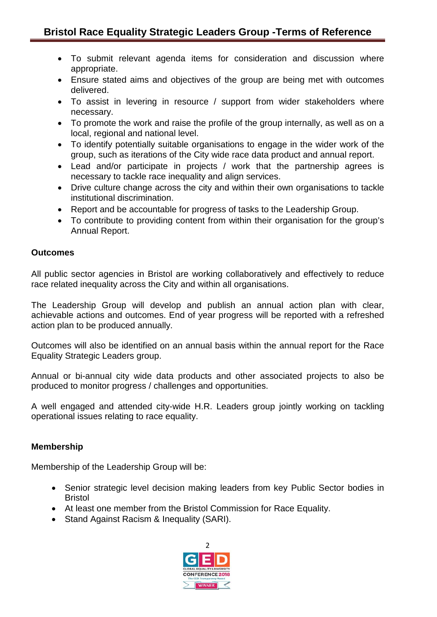- To submit relevant agenda items for consideration and discussion where appropriate.
- Ensure stated aims and objectives of the group are being met with outcomes delivered.
- To assist in levering in resource / support from wider stakeholders where necessary.
- To promote the work and raise the profile of the group internally, as well as on a local, regional and national level.
- To identify potentially suitable organisations to engage in the wider work of the group, such as iterations of the City wide race data product and annual report.
- Lead and/or participate in projects / work that the partnership agrees is necessary to tackle race inequality and align services.
- Drive culture change across the city and within their own organisations to tackle institutional discrimination.
- Report and be accountable for progress of tasks to the Leadership Group.
- To contribute to providing content from within their organisation for the group's Annual Report.

## **Outcomes**

All public sector agencies in Bristol are working collaboratively and effectively to reduce race related inequality across the City and within all organisations.

The Leadership Group will develop and publish an annual action plan with clear, achievable actions and outcomes. End of year progress will be reported with a refreshed action plan to be produced annually.

Outcomes will also be identified on an annual basis within the annual report for the Race Equality Strategic Leaders group.

Annual or bi-annual city wide data products and other associated projects to also be produced to monitor progress / challenges and opportunities.

A well engaged and attended city-wide H.R. Leaders group jointly working on tackling operational issues relating to race equality.

## **Membership**

Membership of the Leadership Group will be:

- Senior strategic level decision making leaders from key Public Sector bodies in Bristol
- At least one member from the Bristol Commission for Race Equality.
- Stand Against Racism & Inequality (SARI).

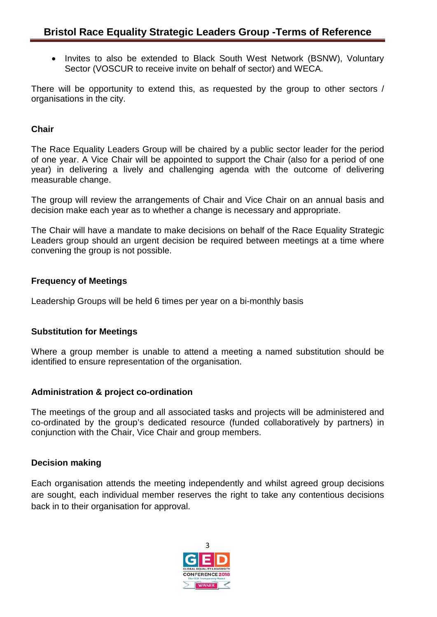• Invites to also be extended to Black South West Network (BSNW), Voluntary Sector (VOSCUR to receive invite on behalf of sector) and WECA.

There will be opportunity to extend this, as requested by the group to other sectors / organisations in the city.

### **Chair**

The Race Equality Leaders Group will be chaired by a public sector leader for the period of one year. A Vice Chair will be appointed to support the Chair (also for a period of one year) in delivering a lively and challenging agenda with the outcome of delivering measurable change.

The group will review the arrangements of Chair and Vice Chair on an annual basis and decision make each year as to whether a change is necessary and appropriate.

The Chair will have a mandate to make decisions on behalf of the Race Equality Strategic Leaders group should an urgent decision be required between meetings at a time where convening the group is not possible.

### **Frequency of Meetings**

Leadership Groups will be held 6 times per year on a bi-monthly basis

#### **Substitution for Meetings**

Where a group member is unable to attend a meeting a named substitution should be identified to ensure representation of the organisation.

## **Administration & project co-ordination**

The meetings of the group and all associated tasks and projects will be administered and co-ordinated by the group's dedicated resource (funded collaboratively by partners) in conjunction with the Chair, Vice Chair and group members.

#### **Decision making**

Each organisation attends the meeting independently and whilst agreed group decisions are sought, each individual member reserves the right to take any contentious decisions back in to their organisation for approval.